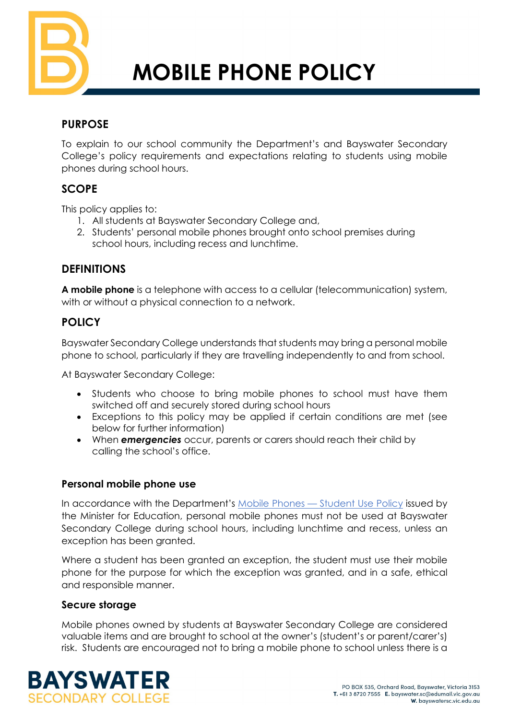

# **MOBILE PHONE POLICY**

# **PURPOSE**

To explain to our school community the Department's and Bayswater Secondary College's policy requirements and expectations relating to students using mobile phones during school hours.

## **SCOPE**

This policy applies to:

- 1. All students at Bayswater Secondary College and,
- 2. Students' personal mobile phones brought onto school premises during school hours, including recess and lunchtime.

# **DEFINITIONS**

**A mobile phone** is a telephone with access to a cellular (telecommunication) system, with or without a physical connection to a network.

# **POLICY**

Bayswater Secondary College understands that students may bring a personal mobile phone to school, particularly if they are travelling independently to and from school.

At Bayswater Secondary College:

- Students who choose to bring mobile phones to school must have them switched off and securely stored during school hours
- Exceptions to this policy may be applied if certain conditions are met (see below for further information)
- When *emergencies* occur, parents or carers should reach their child by calling the school's office.

#### **Personal mobile phone use**

In accordance with the Department's Mobile Phones – [Student Use Policy](https://www2.education.vic.gov.au/pal/students-using-mobile-phones/policy) issued by the Minister for Education, personal mobile phones must not be used at Bayswater Secondary College during school hours, including lunchtime and recess, unless an exception has been granted.

Where a student has been granted an exception, the student must use their mobile phone for the purpose for which the exception was granted, and in a safe, ethical and responsible manner.

#### **Secure storage**

Mobile phones owned by students at Bayswater Secondary College are considered valuable items and are brought to school at the owner's (student's or parent/carer's) risk. Students are encouraged not to bring a mobile phone to school unless there is a

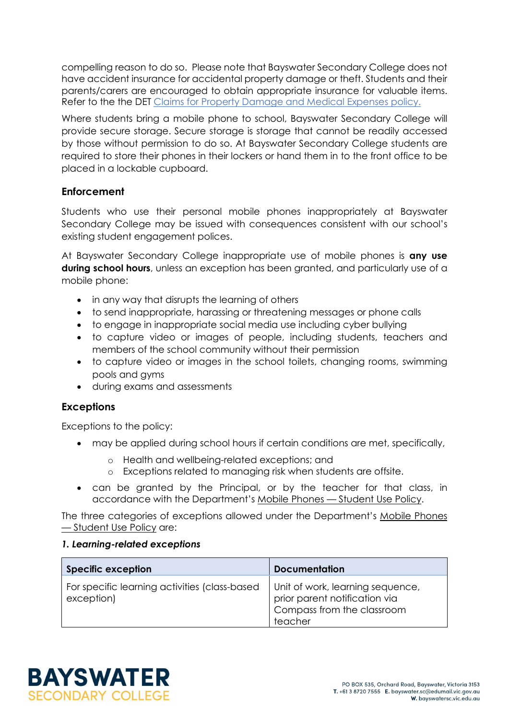compelling reason to do so. Please note that Bayswater Secondary College does not have accident insurance for accidental property damage or theft. Students and their parents/carers are encouraged to obtain appropriate insurance for valuable items. Refer to the the DET [Claims for Property Damage and Medical Expenses](https://www2.education.vic.gov.au/pal/claims-property-damage-and-medical-expenses/policy) policy.

Where students bring a mobile phone to school, Bayswater Secondary College will provide secure storage. Secure storage is storage that cannot be readily accessed by those without permission to do so. At Bayswater Secondary College students are required to store their phones in their lockers or hand them in to the front office to be placed in a lockable cupboard.

#### **Enforcement**

Students who use their personal mobile phones inappropriately at Bayswater Secondary College may be issued with consequences consistent with our school's existing student engagement polices.

At Bayswater Secondary College inappropriate use of mobile phones is **any use during school hours**, unless an exception has been granted, and particularly use of a mobile phone:

- in any way that disrupts the learning of others
- to send inappropriate, harassing or threatening messages or phone calls
- to engage in inappropriate social media use including cyber bullying
- to capture video or images of people, including students, teachers and members of the school community without their permission
- to capture video or images in the school toilets, changing rooms, swimming pools and gyms
- during exams and assessments

#### **Exceptions**

Exceptions to the policy:

- may be applied during school hours if certain conditions are met, specifically,
	- o Health and wellbeing-related exceptions; and
	- o Exceptions related to managing risk when students are offsite.
- can be granted by the Principal, or by the teacher for that class, in accordance with the Department's Mobile Phones — [Student Use Policy.](https://www2.education.vic.gov.au/pal/students-using-mobile-phones/policy)

The three categories of exceptions allowed under the Department's [Mobile Phones](https://www2.education.vic.gov.au/pal/students-using-mobile-phones/policy)  — [Student Use Policy](https://www2.education.vic.gov.au/pal/students-using-mobile-phones/policy) are:

#### *1. Learning-related exceptions*

| <b>Specific exception</b>                                   | <b>Documentation</b>                                                                                       |
|-------------------------------------------------------------|------------------------------------------------------------------------------------------------------------|
| For specific learning activities (class-based<br>exception) | Unit of work, learning sequence,<br>prior parent notification via<br>Compass from the classroom<br>teacher |

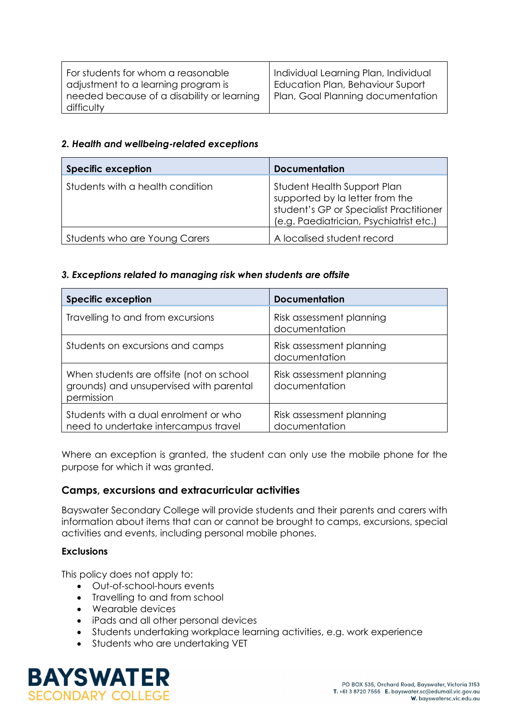| For students for whom a reasonable<br>adjustment to a learning program is | Individual Learning Plan, Individual<br>Education Plan, Behaviour Suport |
|---------------------------------------------------------------------------|--------------------------------------------------------------------------|
| needed because of a disability or learning                                | Plan, Goal Planning documentation                                        |
| difficulty                                                                |                                                                          |

#### *2. Health and wellbeing-related exceptions*

| <b>Specific exception</b>        | <b>Documentation</b>                                                                                                                                 |
|----------------------------------|------------------------------------------------------------------------------------------------------------------------------------------------------|
| Students with a health condition | Student Health Support Plan<br>supported by la letter from the<br>student's GP or Specialist Practitioner<br>(e.g. Paediatrician, Psychiatrist etc.) |
| Students who are Young Carers    | A localised student record                                                                                                                           |

#### *3. Exceptions related to managing risk when students are offsite*

| <b>Specific exception</b>                                                                         | <b>Documentation</b>                      |
|---------------------------------------------------------------------------------------------------|-------------------------------------------|
| Travelling to and from excursions                                                                 | Risk assessment planning<br>documentation |
| Students on excursions and camps                                                                  | Risk assessment planning<br>documentation |
| When students are offsite (not on school<br>grounds) and unsupervised with parental<br>permission | Risk assessment planning<br>documentation |
| Students with a dual enrolment or who<br>need to undertake intercampus travel                     | Risk assessment planning<br>documentation |

Where an exception is granted, the student can only use the mobile phone for the purpose for which it was granted.

#### **Camps, excursions and extracurricular activities**

Bayswater Secondary College will provide students and their parents and carers with information about items that can or cannot be brought to camps, excursions, special activities and events, including personal mobile phones.

#### **Exclusions**

This policy does not apply to:

- Out-of-school-hours events
- Travelling to and from school
- Wearable devices
- iPads and all other personal devices
- Students undertaking workplace learning activities, e.g. work experience
- Students who are undertaking VET